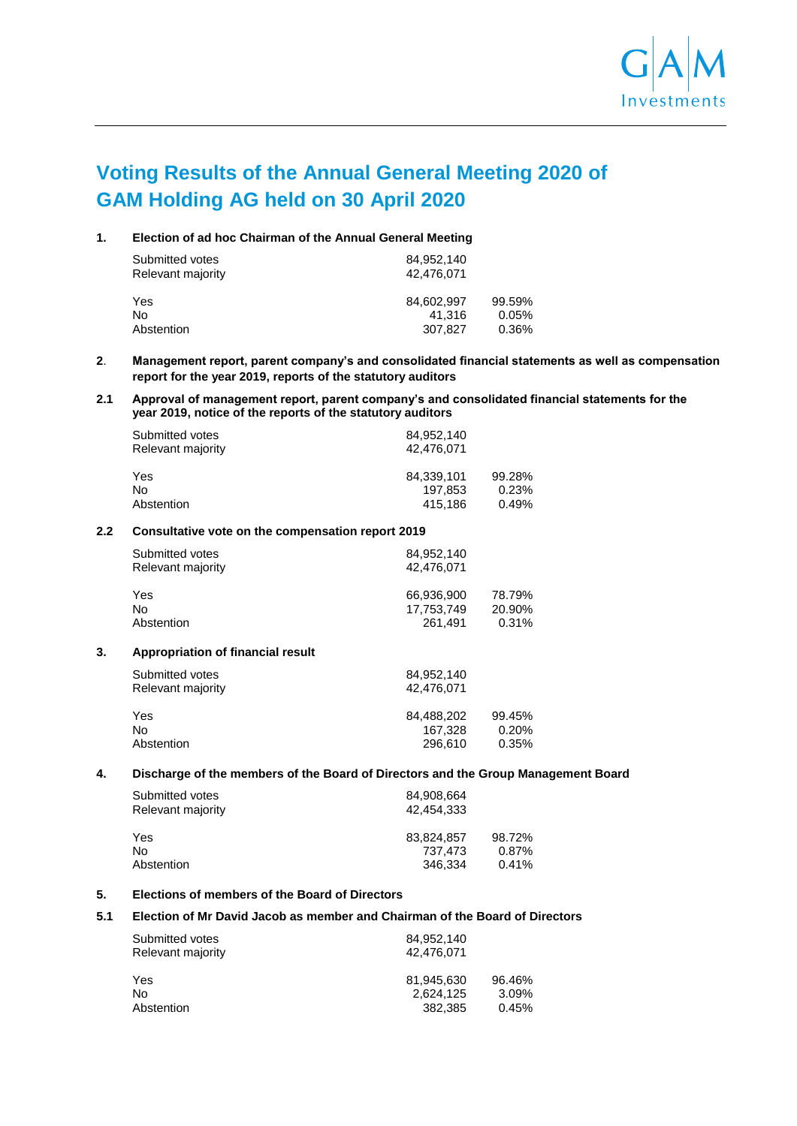

# **Voting Results of the Annual General Meeting 2020 of GAM Holding AG held on 30 April 2020**

## **1. Election of ad hoc Chairman of the Annual General Meeting**

| 84.952.140<br>42.476.071 |        |  |
|--------------------------|--------|--|
| 84.602.997               | 99.59% |  |
| 41.316                   | 0.05%  |  |
| 307.827                  | 0.36%  |  |
|                          |        |  |

## **2**. **Management report, parent company's and consolidated financial statements as well as compensation report for the year 2019, reports of the statutory auditors**

## **2.1 Approval of management report, parent company's and consolidated financial statements for the year 2019, notice of the reports of the statutory auditors**

| Submitted votes   | 84.952.140 |        |
|-------------------|------------|--------|
| Relevant majority | 42.476.071 |        |
| Yes               | 84.339.101 | 99.28% |
| No                | 197.853    | 0.23%  |
| Abstention        | 415,186    | 0.49%  |

## **2.2 Consultative vote on the compensation report 2019**

| 84.952.140<br>42,476,071 |        |
|--------------------------|--------|
| 66,936,900               | 78.79% |
| 17,753,749               | 20.90% |
| 261.491                  | 0.31%  |
|                          |        |

#### **3. Appropriation of financial result**

| Submitted votes<br>Relevant majority | 84.952.140<br>42,476,071 |        |
|--------------------------------------|--------------------------|--------|
| Yes                                  | 84.488.202               | 99.45% |
| No                                   | 167.328                  | 0.20%  |
| Abstention                           | 296.610                  | 0.35%  |

#### **4. Discharge of the members of the Board of Directors and the Group Management Board**

| Submitted votes<br>Relevant majority | 84.908.664<br>42.454.333 |          |
|--------------------------------------|--------------------------|----------|
| Yes                                  | 83,824,857               | 98.72%   |
| No                                   | 737.473                  | $0.87\%$ |
| Abstention                           | 346.334                  | 0.41%    |

# **5. Elections of members of the Board of Directors**

#### **5.1 Election of Mr David Jacob as member and Chairman of the Board of Directors**

| Submitted votes<br>84.952.140<br>Relevant majority<br>42.476.071 |            |        |
|------------------------------------------------------------------|------------|--------|
| Yes                                                              | 81.945.630 | 96.46% |
| No                                                               | 2,624,125  | 3.09%  |
| Abstention                                                       | 382,385    | 0.45%  |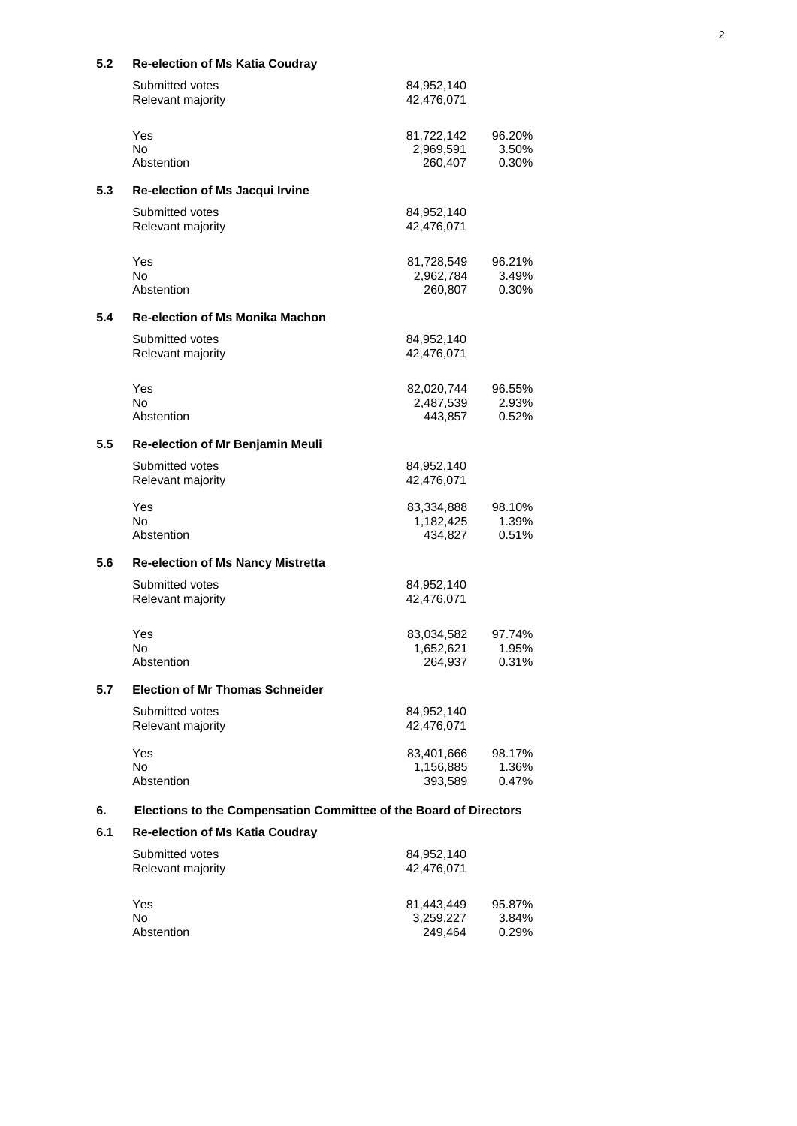| ง.∠ | Re-election of MS Ratid Couglay                                   |                                    |                          |
|-----|-------------------------------------------------------------------|------------------------------------|--------------------------|
|     | Submitted votes<br>Relevant majority                              | 84,952,140<br>42,476,071           |                          |
|     | Yes<br><b>No</b><br>Abstention                                    | 81,722,142<br>2,969,591<br>260,407 | 96.20%<br>3.50%<br>0.30% |
| 5.3 | Re-election of Ms Jacqui Irvine                                   |                                    |                          |
|     | Submitted votes<br>Relevant majority                              | 84,952,140<br>42,476,071           |                          |
|     | Yes<br><b>No</b><br>Abstention                                    | 81,728,549<br>2,962,784<br>260,807 | 96.21%<br>3.49%<br>0.30% |
| 5.4 | <b>Re-election of Ms Monika Machon</b>                            |                                    |                          |
|     | Submitted votes<br>Relevant majority                              | 84,952,140<br>42,476,071           |                          |
|     | Yes<br><b>No</b><br>Abstention                                    | 82,020,744<br>2,487,539<br>443,857 | 96.55%<br>2.93%<br>0.52% |
| 5.5 | Re-election of Mr Benjamin Meuli                                  |                                    |                          |
|     | Submitted votes<br>Relevant majority                              | 84,952,140<br>42,476,071           |                          |
|     | Yes<br>No.<br>Abstention                                          | 83,334,888<br>1,182,425<br>434,827 | 98.10%<br>1.39%<br>0.51% |
| 5.6 | <b>Re-election of Ms Nancy Mistretta</b>                          |                                    |                          |
|     | Submitted votes<br>Relevant majority                              | 84,952,140<br>42,476,071           |                          |
|     | Yes<br>No<br>Abstention                                           | 83,034,582<br>1,652,621<br>264,937 | 97.74%<br>1.95%<br>0.31% |
| 5.7 | <b>Election of Mr Thomas Schneider</b>                            |                                    |                          |
|     | Submitted votes<br>Relevant majority                              | 84,952,140<br>42,476,071           |                          |
|     | Yes<br><b>No</b><br>Abstention                                    | 83,401,666<br>1,156,885<br>393,589 | 98.17%<br>1.36%<br>0.47% |
| 6.  | Elections to the Compensation Committee of the Board of Directors |                                    |                          |
| 6.1 | <b>Re-election of Ms Katia Coudray</b>                            |                                    |                          |
|     | Submitted votes<br>Relevant majority                              | 84,952,140<br>42,476,071           |                          |
|     | Yes<br><b>No</b><br>Abstention                                    | 81,443,449<br>3,259,227<br>249,464 | 95.87%<br>3.84%<br>0.29% |

#### **5.2 Re-election of Ms Katia Coudray**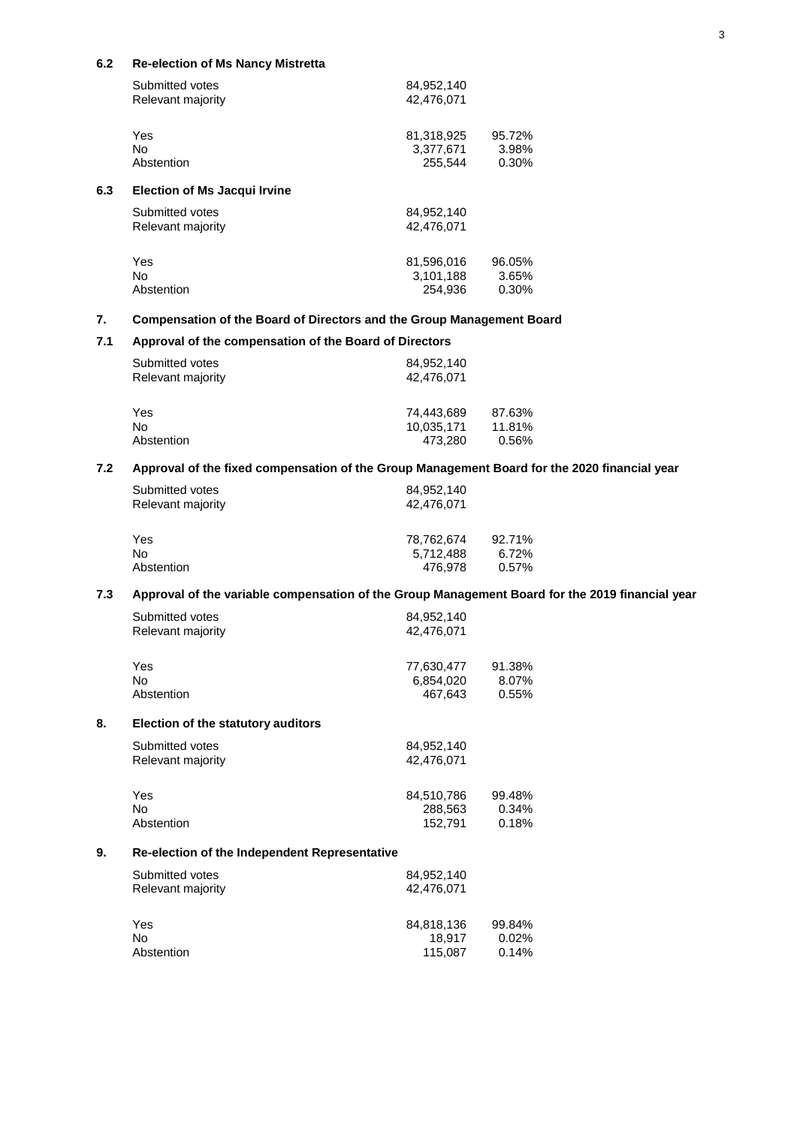## **6.2 Re-election of Ms Nancy Mistretta**

| Submitted votes<br>Relevant majority | 84,952,140<br>42,476,071 |                          |
|--------------------------------------|--------------------------|--------------------------|
| Yes<br>N <sub>o</sub>                | 81,318,925<br>3.377.671  | 95.72%<br>3.98%          |
| Abstention                           | 255,544                  | 0.30%                    |
| <b>Election of Ms Jacqui Irvine</b>  |                          |                          |
| Submitted votes<br>Relevant majority | 84,952,140<br>42.476.071 |                          |
| Yes<br>N <sub>o</sub>                | 81,596,016<br>3,101,188  | 96.05%<br>3.65%<br>0.30% |
|                                      | Abstention               | 254.936                  |

# **7. Compensation of the Board of Directors and the Group Management Board**

# **7.1 Approval of the compensation of the Board of Directors**

| Submitted votes<br>Relevant majority | 84,952,140<br>42,476,071 |        |
|--------------------------------------|--------------------------|--------|
| Yes                                  | 74.443.689               | 87.63% |
| No                                   | 10,035,171               | 11.81% |
| Abstention                           | 473.280                  | 0.56%  |

# **7.2 Approval of the fixed compensation of the Group Management Board for the 2020 financial year**

| Submitted votes<br>Relevant majority | 84.952.140<br>42,476,071 |        |
|--------------------------------------|--------------------------|--------|
| Yes                                  | 78.762.674               | 92.71% |
| No                                   | 5.712.488                | 6.72%  |
| Abstention                           | 476.978                  | 0.57%  |
|                                      |                          |        |

# **7.3 Approval of the variable compensation of the Group Management Board for the 2019 financial year**

|    | Submitted votes                               | 84,952,140 |        |
|----|-----------------------------------------------|------------|--------|
|    | Relevant majority                             | 42,476,071 |        |
|    | Yes                                           | 77,630,477 | 91.38% |
|    | No.                                           | 6,854,020  | 8.07%  |
|    | Abstention                                    | 467,643    | 0.55%  |
| 8. | <b>Election of the statutory auditors</b>     |            |        |
|    | Submitted votes                               | 84,952,140 |        |
|    | Relevant majority                             | 42,476,071 |        |
|    | Yes                                           | 84,510,786 | 99.48% |
|    | No.                                           | 288,563    | 0.34%  |
|    | Abstention                                    | 152,791    | 0.18%  |
| 9. | Re-election of the Independent Representative |            |        |
|    | Submitted votes                               | 84,952,140 |        |
|    | Relevant majority                             | 42,476,071 |        |
|    | Yes                                           | 84,818,136 | 99.84% |
|    | No.                                           | 18,917     | 0.02%  |
|    | Abstention                                    | 115,087    | 0.14%  |